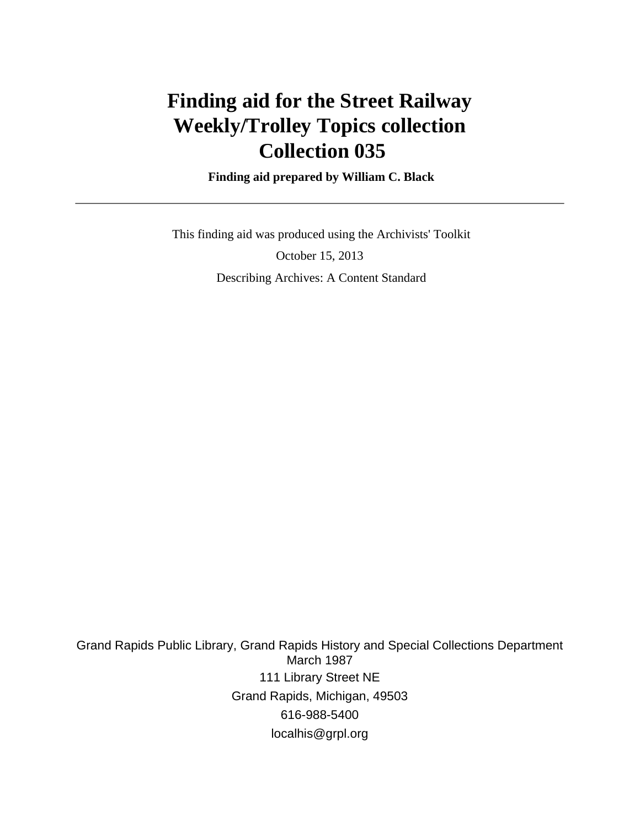# **Finding aid for the Street Railway Weekly/Trolley Topics collection Collection 035**

 **Finding aid prepared by William C. Black**

 This finding aid was produced using the Archivists' Toolkit October 15, 2013 Describing Archives: A Content Standard

Grand Rapids Public Library, Grand Rapids History and Special Collections Department March 1987 111 Library Street NE Grand Rapids, Michigan, 49503 616-988-5400 localhis@grpl.org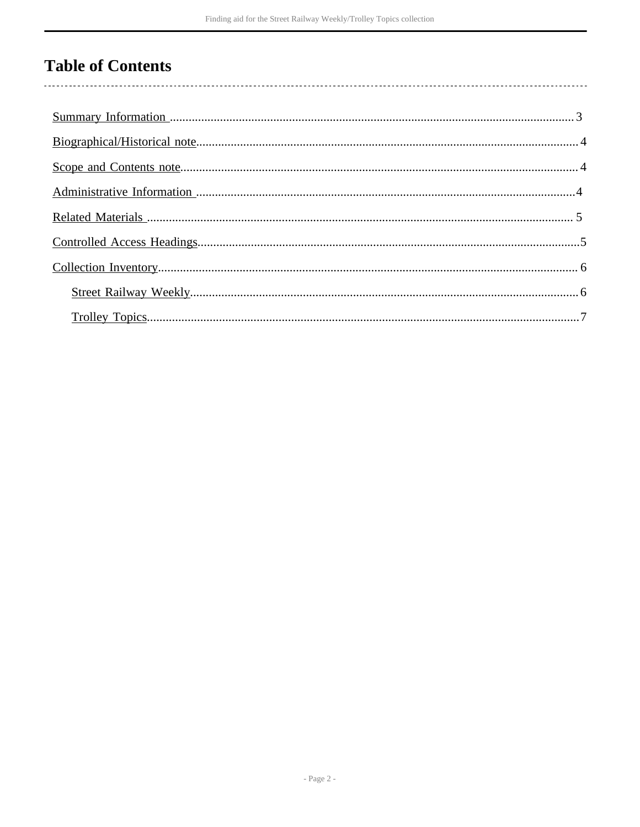# **Table of Contents**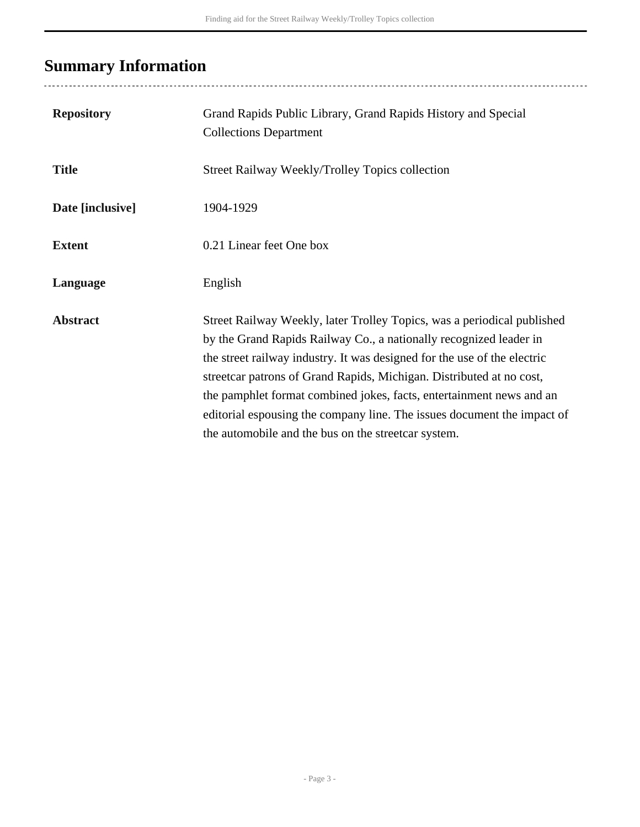# <span id="page-2-0"></span>**Summary Information**

| <b>Repository</b> | Grand Rapids Public Library, Grand Rapids History and Special<br><b>Collections Department</b>                                                                                                                                                                                                                                                                                                                                                                                                              |
|-------------------|-------------------------------------------------------------------------------------------------------------------------------------------------------------------------------------------------------------------------------------------------------------------------------------------------------------------------------------------------------------------------------------------------------------------------------------------------------------------------------------------------------------|
| <b>Title</b>      | <b>Street Railway Weekly/Trolley Topics collection</b>                                                                                                                                                                                                                                                                                                                                                                                                                                                      |
| Date [inclusive]  | 1904-1929                                                                                                                                                                                                                                                                                                                                                                                                                                                                                                   |
| <b>Extent</b>     | 0.21 Linear feet One box                                                                                                                                                                                                                                                                                                                                                                                                                                                                                    |
| Language          | English                                                                                                                                                                                                                                                                                                                                                                                                                                                                                                     |
| <b>Abstract</b>   | Street Railway Weekly, later Trolley Topics, was a periodical published<br>by the Grand Rapids Railway Co., a nationally recognized leader in<br>the street railway industry. It was designed for the use of the electric<br>streetcar patrons of Grand Rapids, Michigan. Distributed at no cost,<br>the pamphlet format combined jokes, facts, entertainment news and an<br>editorial espousing the company line. The issues document the impact of<br>the automobile and the bus on the streetcar system. |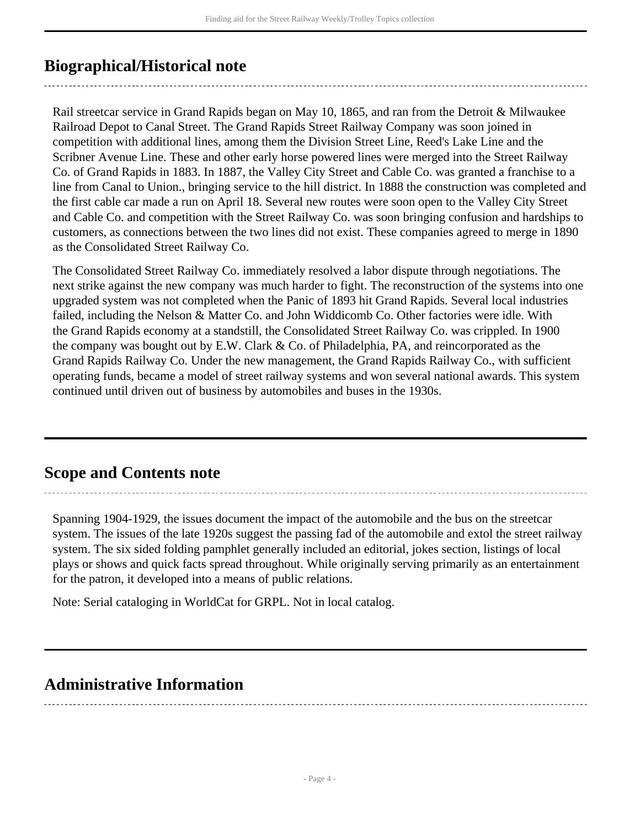## <span id="page-3-0"></span>**Biographical/Historical note**

Rail streetcar service in Grand Rapids began on May 10, 1865, and ran from the Detroit & Milwaukee Railroad Depot to Canal Street. The Grand Rapids Street Railway Company was soon joined in competition with additional lines, among them the Division Street Line, Reed's Lake Line and the Scribner Avenue Line. These and other early horse powered lines were merged into the Street Railway Co. of Grand Rapids in 1883. In 1887, the Valley City Street and Cable Co. was granted a franchise to a line from Canal to Union., bringing service to the hill district. In 1888 the construction was completed and the first cable car made a run on April 18. Several new routes were soon open to the Valley City Street and Cable Co. and competition with the Street Railway Co. was soon bringing confusion and hardships to customers, as connections between the two lines did not exist. These companies agreed to merge in 1890 as the Consolidated Street Railway Co.

The Consolidated Street Railway Co. immediately resolved a labor dispute through negotiations. The next strike against the new company was much harder to fight. The reconstruction of the systems into one upgraded system was not completed when the Panic of 1893 hit Grand Rapids. Several local industries failed, including the Nelson & Matter Co. and John Widdicomb Co. Other factories were idle. With the Grand Rapids economy at a standstill, the Consolidated Street Railway Co. was crippled. In 1900 the company was bought out by E.W. Clark  $&$  Co. of Philadelphia, PA, and reincorporated as the Grand Rapids Railway Co. Under the new management, the Grand Rapids Railway Co., with sufficient operating funds, became a model of street railway systems and won several national awards. This system continued until driven out of business by automobiles and buses in the 1930s.

## <span id="page-3-1"></span>**Scope and Contents note**

Spanning 1904-1929, the issues document the impact of the automobile and the bus on the streetcar system. The issues of the late 1920s suggest the passing fad of the automobile and extol the street railway system. The six sided folding pamphlet generally included an editorial, jokes section, listings of local plays or shows and quick facts spread throughout. While originally serving primarily as an entertainment for the patron, it developed into a means of public relations.

Note: Serial cataloging in WorldCat for GRPL. Not in local catalog.

## <span id="page-3-2"></span>**Administrative Information**

- Page 4 -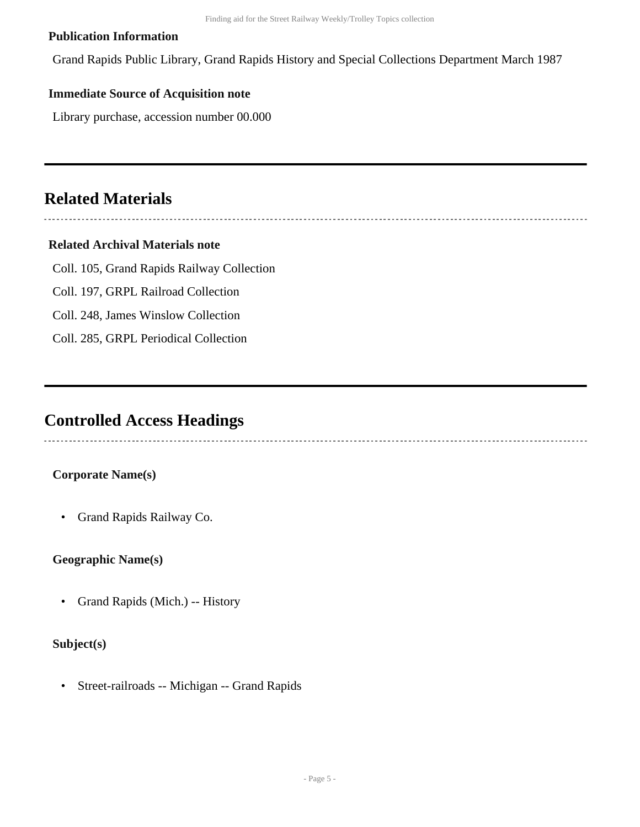#### **Publication Information**

Grand Rapids Public Library, Grand Rapids History and Special Collections Department March 1987

#### **Immediate Source of Acquisition note**

Library purchase, accession number 00.000

## <span id="page-4-0"></span>**Related Materials**

### 

#### **Related Archival Materials note**

Coll. 105, Grand Rapids Railway Collection

- Coll. 197, GRPL Railroad Collection
- Coll. 248, James Winslow Collection
- Coll. 285, GRPL Periodical Collection

## <span id="page-4-1"></span>**Controlled Access Headings**

#### **Corporate Name(s)**

• Grand Rapids Railway Co.

#### **Geographic Name(s)**

• Grand Rapids (Mich.) -- History

#### **Subject(s)**

• Street-railroads -- Michigan -- Grand Rapids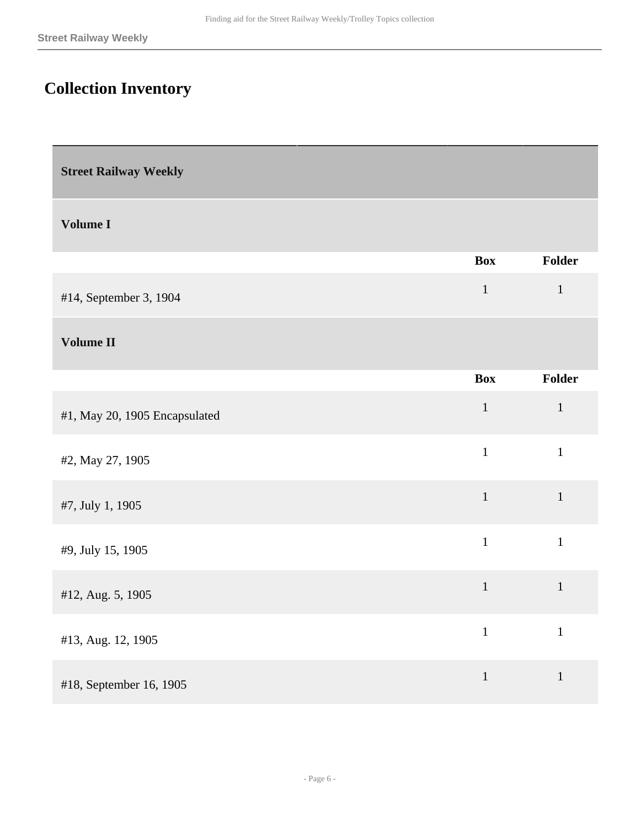# <span id="page-5-0"></span>**Collection Inventory**

<span id="page-5-1"></span>**Street Railway Weekly** 

#### **Volume I**

|                        | <b>Box</b> | <b>Folder</b> |
|------------------------|------------|---------------|
| #14, September 3, 1904 |            | $\mathbf{I}$  |
|                        |            |               |

### **Volume II**

|                               | <b>Box</b>   | Folder       |
|-------------------------------|--------------|--------------|
| #1, May 20, 1905 Encapsulated | $\mathbf{1}$ | $\mathbf{1}$ |
| #2, May 27, 1905              | $\mathbf{1}$ | $\mathbf{1}$ |
| #7, July 1, 1905              | $\mathbf{1}$ | $\mathbf{1}$ |
| #9, July 15, 1905             | $\mathbf{1}$ | $\mathbf{1}$ |
| #12, Aug. 5, 1905             | $\mathbf{1}$ | $\mathbf{1}$ |
| #13, Aug. 12, 1905            | $\mathbf{1}$ | $\mathbf{1}$ |
| #18, September 16, 1905       | $\mathbf{1}$ | $\mathbf{1}$ |